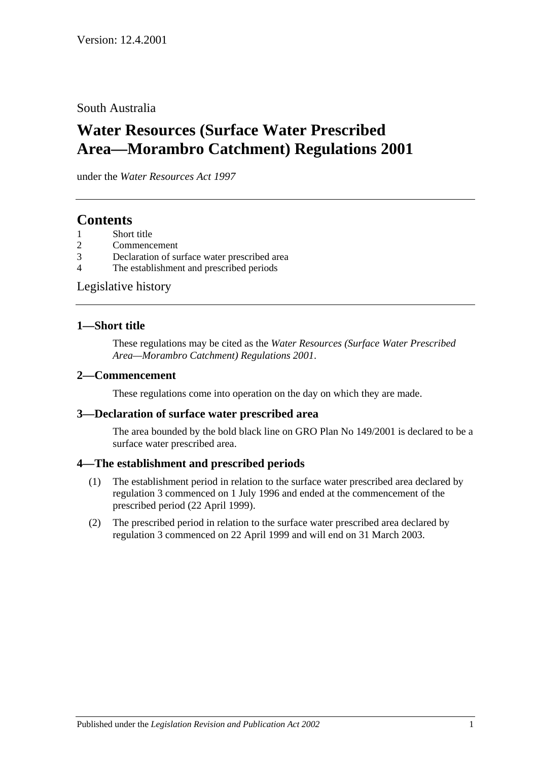## South Australia

# **Water Resources (Surface Water Prescribed Area—Morambro Catchment) Regulations 2001**

under the *Water Resources Act 1997*

## **Contents**

- [Short title](#page-0-0)
- 2 [Commencement](#page-0-1)
- 3 [Declaration of surface water prescribed area](#page-0-2)
- 4 [The establishment and prescribed periods](#page-0-3)

[Legislative history](#page-1-0)

### <span id="page-0-0"></span>**1—Short title**

These regulations may be cited as the *Water Resources (Surface Water Prescribed Area—Morambro Catchment) Regulations 2001*.

#### <span id="page-0-1"></span>**2—Commencement**

These regulations come into operation on the day on which they are made.

#### <span id="page-0-2"></span>**3—Declaration of surface water prescribed area**

The area bounded by the bold black line on GRO Plan No 149/2001 is declared to be a surface water prescribed area.

## <span id="page-0-3"></span>**4—The establishment and prescribed periods**

- (1) The establishment period in relation to the surface water prescribed area declared by [regulation](#page-0-2) 3 commenced on 1 July 1996 and ended at the commencement of the prescribed period (22 April 1999).
- (2) The prescribed period in relation to the surface water prescribed area declared by [regulation](#page-0-2) 3 commenced on 22 April 1999 and will end on 31 March 2003.